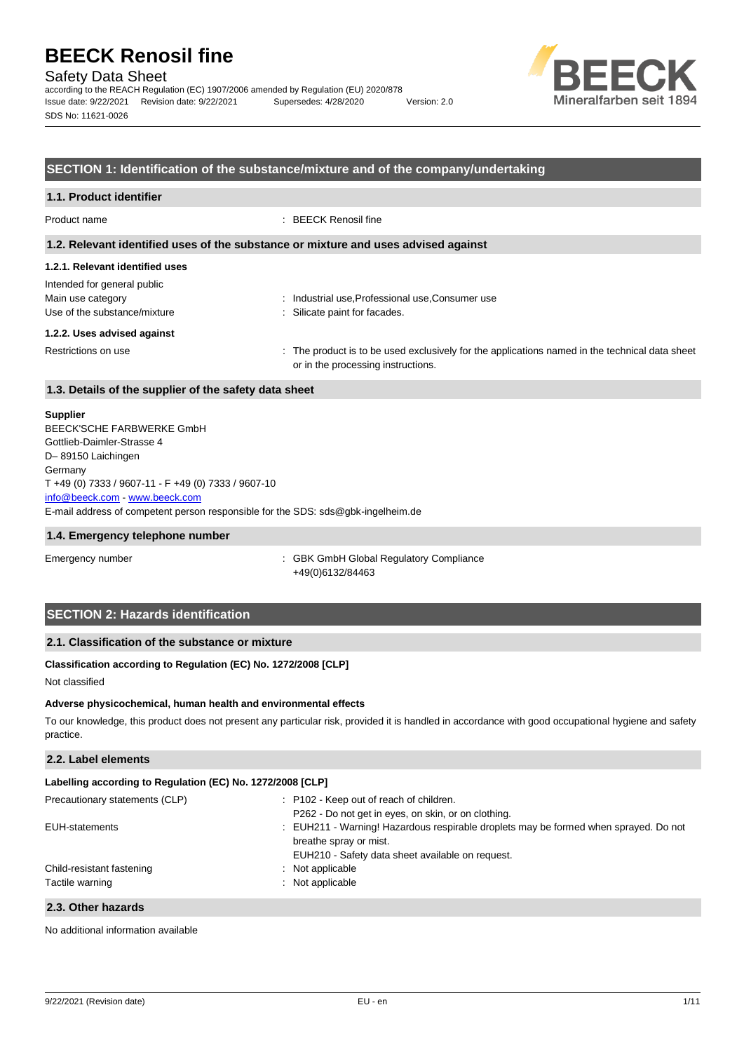Safety Data Sheet

according to the REACH Regulation (EC) 1907/2006 amended by Regulation (EU) 2020/878 Issue date: 9/22/2021 Revision date: 9/22/2021 Supersedes: 4/28/2020 Version: 2.0 SDS No: 11621-0026



### **SECTION 1: Identification of the substance/mixture and of the company/undertaking**

# **1.1. Product identifier**

Product name : BEECK Renosil fine

#### **1.2. Relevant identified uses of the substance or mixture and uses advised against**

### **1.2.1. Relevant identified uses**

| Intended for general public  |
|------------------------------|
| Main use category            |
| Use of the substance/mixture |

: Industrial use, Professional use, Consumer use : Silicate paint for facades.

#### **1.2.2. Uses advised against**

Restrictions on use state of the product is to be used exclusively for the applications named in the technical data sheet or in the processing instructions.

## **1.3. Details of the supplier of the safety data sheet**

#### **Supplier**

E-mail address of competent person responsible for the SDS: sds@gbk-ingelheim.de BEECK'SCHE FARBWERKE GmbH Gottlieb-Daimler-Strasse 4 D– 89150 Laichingen Germany T +49 (0) 7333 / 9607-11 - F +49 (0) 7333 / 9607-10 [info@beeck.com](mailto:info@beeck.com) - [www.beeck.com](http://www.beeck.com/)

#### **1.4. Emergency telephone number**

Emergency number **Emergency** number **1996** is GBK GmbH Global Regulatory Compliance +49(0)6132/84463

## **SECTION 2: Hazards identification**

## **2.1. Classification of the substance or mixture**

### **Classification according to Regulation (EC) No. 1272/2008 [CLP]**

Not classified

#### **Adverse physicochemical, human health and environmental effects**

To our knowledge, this product does not present any particular risk, provided it is handled in accordance with good occupational hygiene and safety practice.

## **2.2. Label elements**

| Labelling according to Regulation (EC) No. 1272/2008 [CLP] |                                                                                      |  |  |
|------------------------------------------------------------|--------------------------------------------------------------------------------------|--|--|
| Precautionary statements (CLP)                             | : P102 - Keep out of reach of children.                                              |  |  |
|                                                            | P262 - Do not get in eyes, on skin, or on clothing.                                  |  |  |
| EUH-statements                                             | : EUH211 - Warning! Hazardous respirable droplets may be formed when sprayed. Do not |  |  |
|                                                            | breathe spray or mist.                                                               |  |  |
|                                                            | EUH210 - Safety data sheet available on request.                                     |  |  |
| Child-resistant fastening                                  | : Not applicable                                                                     |  |  |
| Tactile warning                                            | : Not applicable                                                                     |  |  |
|                                                            |                                                                                      |  |  |

### **2.3. Other hazards**

No additional information available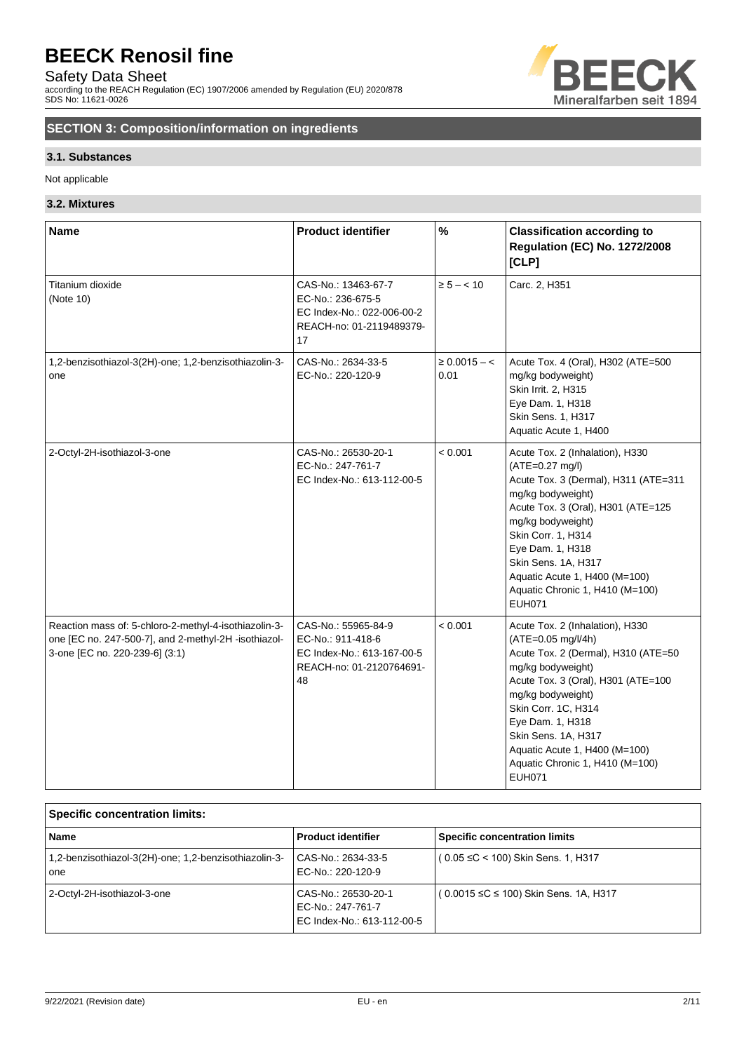Safety Data Sheet

according to the REACH Regulation (EC) 1907/2006 amended by Regulation (EU) 2020/878 SDS No: 11621-0026



# **SECTION 3: Composition/information on ingredients**

## **3.1. Substances**

Not applicable

## **3.2. Mixtures**

| <b>Name</b>                                                                                                                                     | <b>Product identifier</b>                                                                                | $\frac{9}{6}$             | <b>Classification according to</b><br><b>Regulation (EC) No. 1272/2008</b><br>[CLP]                                                                                                                                                                                                                                                 |
|-------------------------------------------------------------------------------------------------------------------------------------------------|----------------------------------------------------------------------------------------------------------|---------------------------|-------------------------------------------------------------------------------------------------------------------------------------------------------------------------------------------------------------------------------------------------------------------------------------------------------------------------------------|
| Titanium dioxide<br>(Note 10)                                                                                                                   | CAS-No.: 13463-67-7<br>EC-No.: 236-675-5<br>EC Index-No.: 022-006-00-2<br>REACH-no: 01-2119489379-<br>17 | $\ge 5 - < 10$            | Carc. 2, H351                                                                                                                                                                                                                                                                                                                       |
| 1,2-benzisothiazol-3(2H)-one; 1,2-benzisothiazolin-3-<br>one                                                                                    | CAS-No.: 2634-33-5<br>EC-No.: 220-120-9                                                                  | $\geq 0.0015 - c$<br>0.01 | Acute Tox. 4 (Oral), H302 (ATE=500<br>mg/kg bodyweight)<br>Skin Irrit. 2, H315<br>Eye Dam. 1, H318<br>Skin Sens. 1, H317<br>Aquatic Acute 1, H400                                                                                                                                                                                   |
| 2-Octyl-2H-isothiazol-3-one                                                                                                                     | CAS-No.: 26530-20-1<br>EC-No.: 247-761-7<br>EC Index-No.: 613-112-00-5                                   | < 0.001                   | Acute Tox. 2 (Inhalation), H330<br>(ATE=0.27 mg/l)<br>Acute Tox. 3 (Dermal), H311 (ATE=311<br>mg/kg bodyweight)<br>Acute Tox. 3 (Oral), H301 (ATE=125<br>mg/kg bodyweight)<br>Skin Corr. 1, H314<br>Eye Dam. 1, H318<br>Skin Sens. 1A, H317<br>Aquatic Acute 1, H400 (M=100)<br>Aquatic Chronic 1, H410 (M=100)<br><b>EUH071</b>    |
| Reaction mass of: 5-chloro-2-methyl-4-isothiazolin-3-<br>one [EC no. 247-500-7], and 2-methyl-2H -isothiazol-<br>3-one [EC no. 220-239-6] (3:1) | CAS-No.: 55965-84-9<br>EC-No.: 911-418-6<br>EC Index-No.: 613-167-00-5<br>REACH-no: 01-2120764691-<br>48 | < 0.001                   | Acute Tox. 2 (Inhalation), H330<br>(ATE=0.05 mg/l/4h)<br>Acute Tox. 2 (Dermal), H310 (ATE=50<br>mg/kg bodyweight)<br>Acute Tox. 3 (Oral), H301 (ATE=100<br>mg/kg bodyweight)<br>Skin Corr. 1C, H314<br>Eye Dam. 1, H318<br>Skin Sens. 1A, H317<br>Aquatic Acute 1, H400 (M=100)<br>Aquatic Chronic 1, H410 (M=100)<br><b>EUH071</b> |

| <b>Specific concentration limits:</b>                        |                                                                        |                                          |  |
|--------------------------------------------------------------|------------------------------------------------------------------------|------------------------------------------|--|
| <b>Name</b>                                                  | <b>Product identifier</b>                                              | <b>Specific concentration limits</b>     |  |
| 1,2-benzisothiazol-3(2H)-one; 1,2-benzisothiazolin-3-<br>one | CAS-No.: 2634-33-5<br>EC-No.: 220-120-9                                | $(0.05 \leq C < 100)$ Skin Sens. 1, H317 |  |
| 2-Octyl-2H-isothiazol-3-one                                  | CAS-No.: 26530-20-1<br>EC-No.: 247-761-7<br>EC Index-No.: 613-112-00-5 | (0.0015 ≤C ≤ 100) Skin Sens. 1A, H317    |  |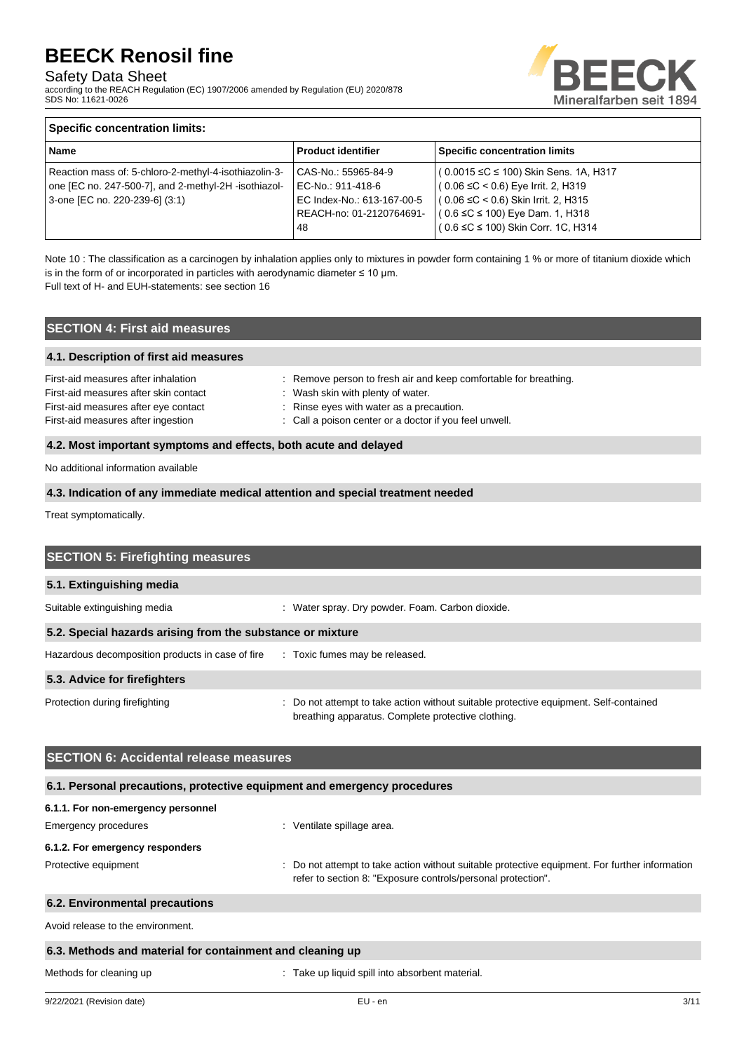## Safety Data Sheet

according to the REACH Regulation (EC) 1907/2006 amended by Regulation (EU) 2020/878 SDS No: 11621-0026



## **Specific concentration limits:**

| <b>Name</b>                                           | <b>Product identifier</b>  | <b>Specific concentration limits</b>           |
|-------------------------------------------------------|----------------------------|------------------------------------------------|
| Reaction mass of: 5-chloro-2-methyl-4-isothiazolin-3- | CAS-No.: 55965-84-9        | $(0.0015 \leq C \leq 100)$ Skin Sens. 1A, H317 |
| one [EC no. 247-500-7], and 2-methyl-2H -isothiazol-  | EC-No.: 911-418-6          | $(0.06 \leq C < 0.6)$ Eye Irrit. 2, H319       |
| 3-one [EC no. 220-239-6] (3:1)                        | EC Index-No.: 613-167-00-5 | $(0.06 \leq C < 0.6)$ Skin Irrit. 2, H315      |
|                                                       | REACH-no: 01-2120764691-   | $(0.6 \leq C \leq 100)$ Eye Dam. 1, H318       |
|                                                       | 48                         | ( 0.6 ≤C ≤ 100) Skin Corr. 1C, H314            |
|                                                       |                            |                                                |

Note 10 : The classification as a carcinogen by inhalation applies only to mixtures in powder form containing 1 % or more of titanium dioxide which is in the form of or incorporated in particles with aerodynamic diameter  $\leq 10$  µm.

Full text of H- and EUH-statements: see section 16

## **SECTION 4: First aid measures**

#### **4.1. Description of first aid measures**

| First-aid measures after inhalation   | : Remove person to fresh air and keep comfortable for breathing. |
|---------------------------------------|------------------------------------------------------------------|
| First-aid measures after skin contact | : Wash skin with plenty of water.                                |
| First-aid measures after eye contact  | : Rinse eyes with water as a precaution.                         |
| First-aid measures after ingestion    | : Call a poison center or a doctor if you feel unwell.           |
|                                       |                                                                  |

### **4.2. Most important symptoms and effects, both acute and delayed**

No additional information available

### **4.3. Indication of any immediate medical attention and special treatment needed**

Treat symptomatically.

| <b>SECTION 5: Firefighting measures</b>                    |                                                                                                                                           |  |  |  |
|------------------------------------------------------------|-------------------------------------------------------------------------------------------------------------------------------------------|--|--|--|
| 5.1. Extinguishing media                                   |                                                                                                                                           |  |  |  |
| Suitable extinguishing media                               | : Water spray. Dry powder. Foam. Carbon dioxide.                                                                                          |  |  |  |
| 5.2. Special hazards arising from the substance or mixture |                                                                                                                                           |  |  |  |
| Hazardous decomposition products in case of fire           | : Toxic fumes may be released.                                                                                                            |  |  |  |
| 5.3. Advice for firefighters                               |                                                                                                                                           |  |  |  |
| Protection during firefighting                             | Do not attempt to take action without suitable protective equipment. Self-contained<br>breathing apparatus. Complete protective clothing. |  |  |  |
|                                                            |                                                                                                                                           |  |  |  |

## **SECTION 6: Accidental release measures**

| 6.1. Personal precautions, protective equipment and emergency procedures |                                                                                                                                                                |
|--------------------------------------------------------------------------|----------------------------------------------------------------------------------------------------------------------------------------------------------------|
| 6.1.1. For non-emergency personnel                                       |                                                                                                                                                                |
| Emergency procedures                                                     | : Ventilate spillage area.                                                                                                                                     |
| 6.1.2. For emergency responders                                          |                                                                                                                                                                |
| Protective equipment                                                     | : Do not attempt to take action without suitable protective equipment. For further information<br>refer to section 8: "Exposure controls/personal protection". |

## **6.2. Environmental precautions**

Avoid release to the environment.

## **6.3. Methods and material for containment and cleaning up**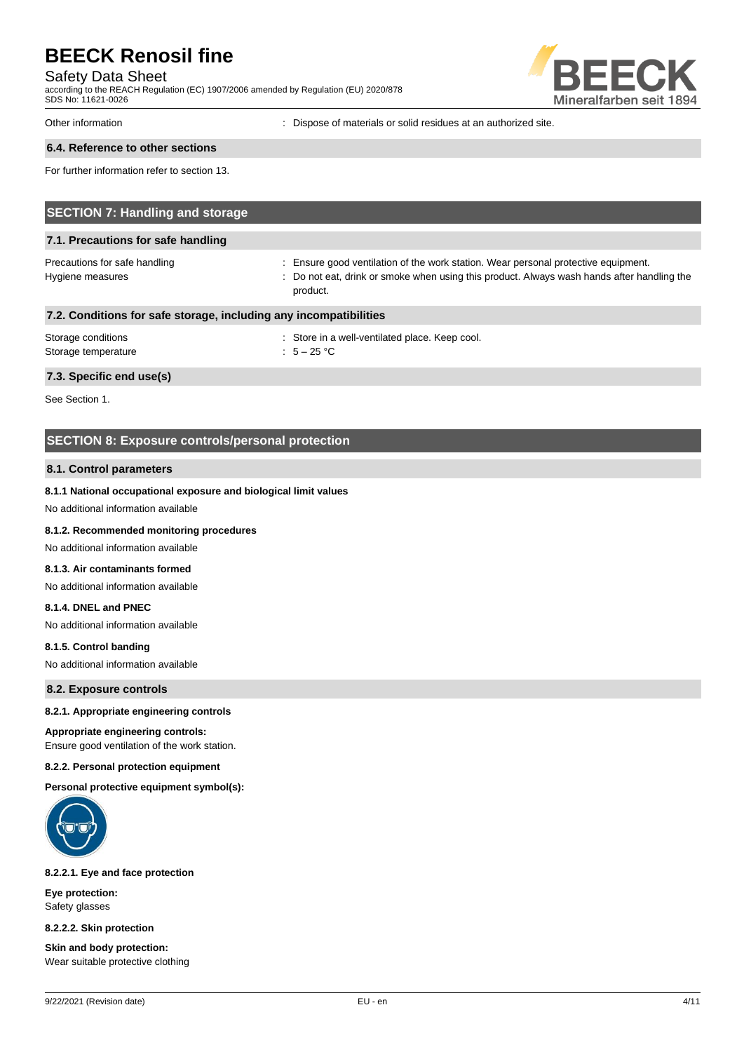### Safety Data Sheet

according to the REACH Regulation (EC) 1907/2006 amended by Regulation (EU) 2020/878 SDS No: 11621-0026



Other information : Dispose of materials or solid residues at an authorized site.

## **6.4. Reference to other sections**

For further information refer to section 13.

| <b>SECTION 7: Handling and storage</b>                            |                                                                                                                                                                                              |  |  |
|-------------------------------------------------------------------|----------------------------------------------------------------------------------------------------------------------------------------------------------------------------------------------|--|--|
| 7.1. Precautions for safe handling                                |                                                                                                                                                                                              |  |  |
| Precautions for safe handling<br>Hygiene measures                 | : Ensure good ventilation of the work station. Wear personal protective equipment.<br>: Do not eat, drink or smoke when using this product. Always wash hands after handling the<br>product. |  |  |
| 7.2. Conditions for safe storage, including any incompatibilities |                                                                                                                                                                                              |  |  |
| Storage conditions                                                | : Store in a well-ventilated place. Keep cool.                                                                                                                                               |  |  |

# **7.3. Specific end use(s)**

See Section 1.

## **SECTION 8: Exposure controls/personal protection**

Storage temperature  $\overline{5} - 25 \degree C$ 

#### **8.1. Control parameters**

#### **8.1.1 National occupational exposure and biological limit values**

No additional information available

### **8.1.2. Recommended monitoring procedures**

No additional information available

#### **8.1.3. Air contaminants formed**

No additional information available

## **8.1.4. DNEL and PNEC**

No additional information available

#### **8.1.5. Control banding**

No additional information available

**8.2. Exposure controls**

#### **8.2.1. Appropriate engineering controls**

### **Appropriate engineering controls:**

Ensure good ventilation of the work station.

#### **8.2.2. Personal protection equipment**

**Personal protective equipment symbol(s):**



#### **8.2.2.1. Eye and face protection**

**Eye protection:** Safety glasses

**8.2.2.2. Skin protection**

**Skin and body protection:** Wear suitable protective clothing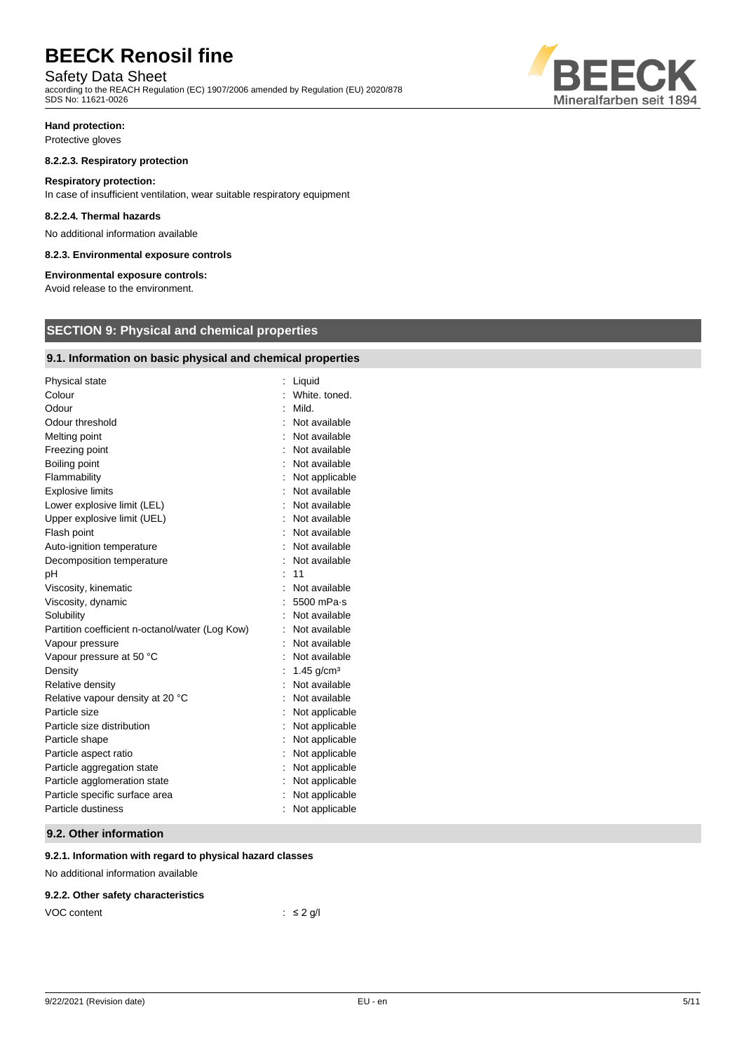## Safety Data Sheet

according to the REACH Regulation (EC) 1907/2006 amended by Regulation (EU) 2020/878 SDS No: 11621-0026



## **Hand protection:**

Protective gloves

#### **8.2.2.3. Respiratory protection**

#### **Respiratory protection:**

In case of insufficient ventilation, wear suitable respiratory equipment

#### **8.2.2.4. Thermal hazards**

No additional information available

#### **8.2.3. Environmental exposure controls**

#### **Environmental exposure controls:**

Avoid release to the environment.

## **SECTION 9: Physical and chemical properties**

## **9.1. Information on basic physical and chemical properties**

| <b>Physical state</b>                           | Liquid         |
|-------------------------------------------------|----------------|
| Colour                                          | White, toned.  |
| Odour                                           | Mild.          |
| Odour threshold                                 | Not available  |
| Melting point                                   | Not available  |
| Freezing point                                  | Not available  |
| Boiling point                                   | Not available  |
| Flammability                                    | Not applicable |
| <b>Explosive limits</b>                         | Not available  |
| Lower explosive limit (LEL)                     | Not available  |
| Upper explosive limit (UEL)                     | Not available  |
| Flash point                                     | Not available  |
| Auto-ignition temperature                       | Not available  |
| Decomposition temperature                       | Not available  |
| рH                                              | 11             |
| Viscosity, kinematic                            | Not available  |
| Viscosity, dynamic                              | 5500 mPa-s     |
| Solubility                                      | Not available  |
| Partition coefficient n-octanol/water (Log Kow) | Not available  |
| Vapour pressure                                 | Not available  |
| Vapour pressure at 50 °C                        | Not available  |
| Density                                         | 1.45 $g/cm3$   |
| Relative density                                | Not available  |
| Relative vapour density at 20 °C                | Not available  |
| Particle size                                   | Not applicable |
| Particle size distribution                      | Not applicable |
| Particle shape                                  | Not applicable |
| Particle aspect ratio                           | Not applicable |
| Particle aggregation state                      | Not applicable |
| Particle agglomeration state                    | Not applicable |
| Particle specific surface area                  | Not applicable |
| Particle dustiness                              | Not applicable |

### **9.2. Other information**

## **9.2.1. Information with regard to physical hazard classes**

No additional information available

#### **9.2.2. Other safety characteristics**

| VOC content | $\therefore$ $\leq$ 2 g/l |
|-------------|---------------------------|
|-------------|---------------------------|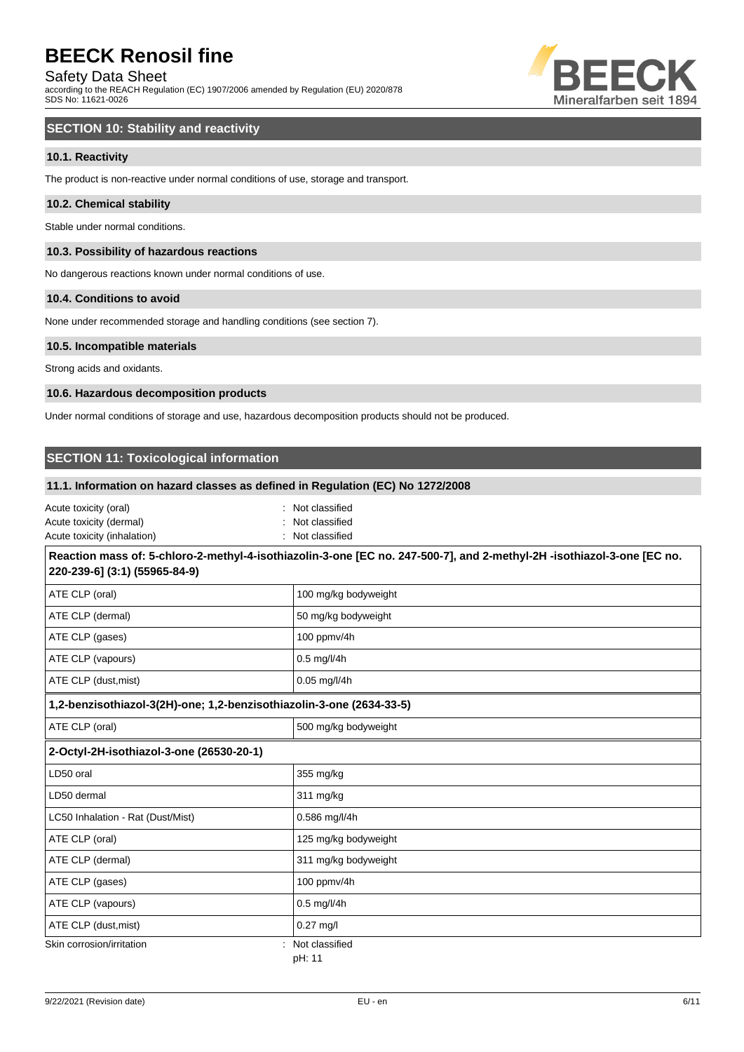## Safety Data Sheet

according to the REACH Regulation (EC) 1907/2006 amended by Regulation (EU) 2020/878 SDS No: 11621-0026



## **SECTION 10: Stability and reactivity**

## **10.1. Reactivity**

The product is non-reactive under normal conditions of use, storage and transport.

#### **10.2. Chemical stability**

Stable under normal conditions.

#### **10.3. Possibility of hazardous reactions**

No dangerous reactions known under normal conditions of use.

#### **10.4. Conditions to avoid**

None under recommended storage and handling conditions (see section 7).

#### **10.5. Incompatible materials**

Strong acids and oxidants.

#### **10.6. Hazardous decomposition products**

Under normal conditions of storage and use, hazardous decomposition products should not be produced.

## **SECTION 11: Toxicological information**

#### **11.1. Information on hazard classes as defined in Regulation (EC) No 1272/2008**

| Acute toxicity (oral)       | : Not classified |
|-----------------------------|------------------|
| Acute toxicity (dermal)     | : Not classified |
| Acute toxicity (inhalation) | : Not classified |

## **Reaction mass of: 5-chloro-2-methyl-4-isothiazolin-3-one [EC no. 247-500-7], and 2-methyl-2H -isothiazol-3-one [EC no. 220-239-6] (3:1) (55965-84-9)** ATE CLP (oral) and the contract of the contract of the 100 mg/kg bodyweight ATE CLP (dermal) and the state of the state of the SO mg/kg bodyweight ATE CLP (gases) and the state of the 100 ppmv/4h ATE CLP (vapours) and a set of the U and C and O.5 mg/l/4h

| ATE CLP (dust, mist)                                                 | $0.05$ mg/l/4h                 |  |
|----------------------------------------------------------------------|--------------------------------|--|
| 1,2-benzisothiazol-3(2H)-one; 1,2-benzisothiazolin-3-one (2634-33-5) |                                |  |
| ATE CLP (oral)                                                       | 500 mg/kg bodyweight           |  |
| 2-Octyl-2H-isothiazol-3-one (26530-20-1)                             |                                |  |
| LD50 oral                                                            | 355 mg/kg                      |  |
| LD50 dermal                                                          | 311 mg/kg                      |  |
| LC50 Inhalation - Rat (Dust/Mist)                                    | 0.586 mg/l/4h                  |  |
| ATE CLP (oral)                                                       | 125 mg/kg bodyweight           |  |
| ATE CLP (dermal)                                                     | 311 mg/kg bodyweight           |  |
| ATE CLP (gases)                                                      | 100 ppmv/4h                    |  |
| ATE CLP (vapours)                                                    | $0.5 \text{ mg}/\frac{1}{4}$ h |  |
| ATE CLP (dust, mist)                                                 | $0.27$ mg/l                    |  |
| Skin corrosion/irritation                                            | Not classified<br>pH: 11       |  |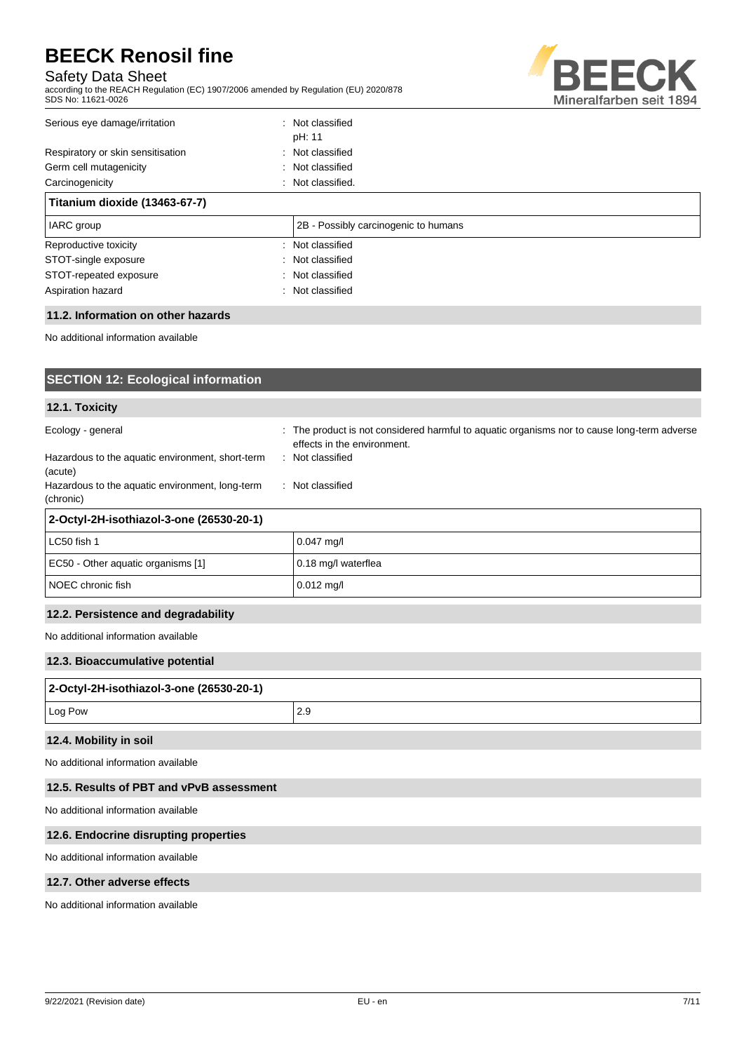## Safety Data Sheet

according to the REACH Regulation (EC) 1907/2006 amended by Regulation (EU) 2020/878 SDS No: 11621-0026



## Serious eye damage/irritation : Not classified pH: 11 Respiratory or skin sensitisation : Not classified Germ cell mutagenicity **Second Contract Contract Contract Contract Contract Contract Contract Contract Contract Contract Contract Contract Contract Contract Contract Contract Contract Contract Contract Contract Contract Co** Carcinogenicity **Carcinogenicity** : Not classified. **Titanium dioxide (13463-67-7)**

| <b>IARC</b> group      | 2B - Possibly carcinogenic to humans |
|------------------------|--------------------------------------|
| Reproductive toxicity  | : Not classified                     |
| STOT-single exposure   | : Not classified                     |
| STOT-repeated exposure | Not classified                       |
| Aspiration hazard      | : Not classified                     |

## **11.2. Information on other hazards**

No additional information available

| <b>SECTION 12: Ecological information</b>                                                                                                        |                                                                                                                                                                    |
|--------------------------------------------------------------------------------------------------------------------------------------------------|--------------------------------------------------------------------------------------------------------------------------------------------------------------------|
| 12.1. Toxicity                                                                                                                                   |                                                                                                                                                                    |
| Ecology - general<br>Hazardous to the aquatic environment, short-term<br>(acute)<br>Hazardous to the aquatic environment, long-term<br>(chronic) | : The product is not considered harmful to aquatic organisms nor to cause long-term adverse<br>effects in the environment.<br>: Not classified<br>: Not classified |
| 2-Octyl-2H-isothiazol-3-one (26530-20-1)                                                                                                         |                                                                                                                                                                    |
| LC50 fish 1                                                                                                                                      | $0.047$ mg/l                                                                                                                                                       |
| EC50 - Other aquatic organisms [1]                                                                                                               | 0.18 mg/l waterflea                                                                                                                                                |
| NOEC chronic fish                                                                                                                                | $0.012$ mg/l                                                                                                                                                       |
| 12.2. Persistence and degradability                                                                                                              |                                                                                                                                                                    |
| No additional information available                                                                                                              |                                                                                                                                                                    |
| 12.3. Bioaccumulative potential                                                                                                                  |                                                                                                                                                                    |
| 2-Octyl-2H-isothiazol-3-one (26530-20-1)                                                                                                         |                                                                                                                                                                    |
| Log Pow                                                                                                                                          | 2.9                                                                                                                                                                |
| 12.4. Mobility in soil                                                                                                                           |                                                                                                                                                                    |
| No additional information available                                                                                                              |                                                                                                                                                                    |
| 12.5. Results of PBT and vPvB assessment                                                                                                         |                                                                                                                                                                    |
| No additional information available                                                                                                              |                                                                                                                                                                    |
| 12.6. Endocrine disrupting properties                                                                                                            |                                                                                                                                                                    |
| No additional information available                                                                                                              |                                                                                                                                                                    |
| 12.7. Other adverse effects                                                                                                                      |                                                                                                                                                                    |

No additional information available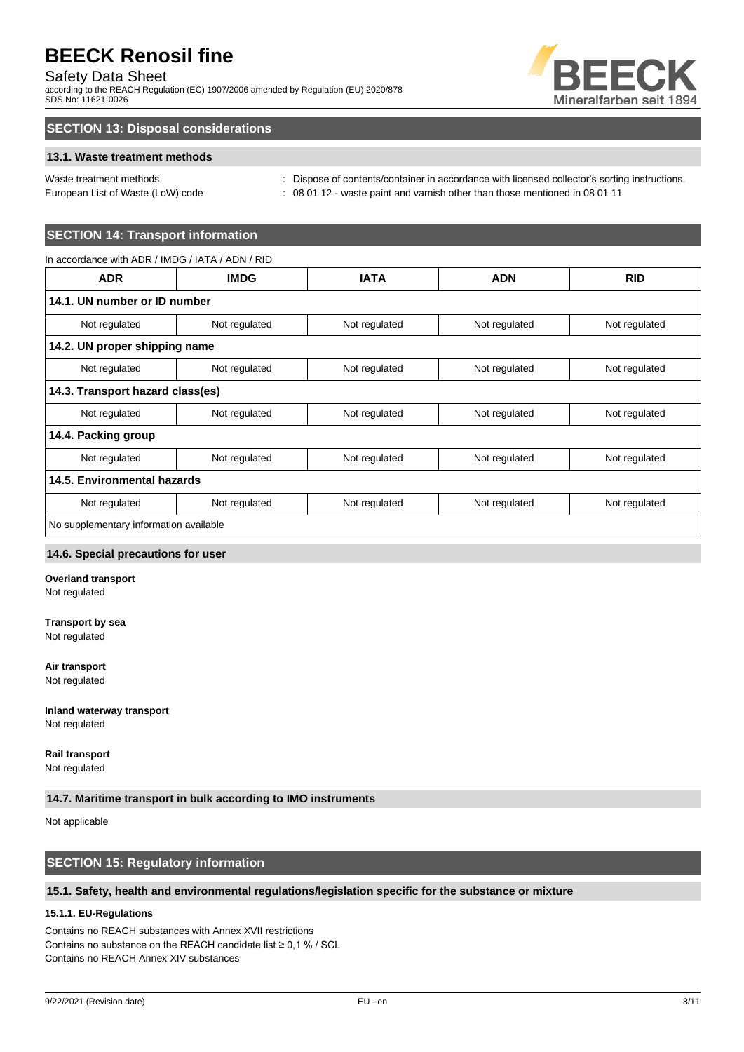## Safety Data Sheet

according to the REACH Regulation (EC) 1907/2006 amended by Regulation (EU) 2020/878 SDS No: 11621-0026



## **SECTION 13: Disposal considerations**

## **13.1. Waste treatment methods**

| Waste treatment methods |  |
|-------------------------|--|
|                         |  |

: Dispose of contents/container in accordance with licensed collector's sorting instructions. European List of Waste (LoW) code : 08 01 12 - waste paint and varnish other than those mentioned in 08 01 11

## **SECTION 14: Transport information**

| In accordance with ADR / IMDG / IATA / ADN / RID |               |               |               |               |
|--------------------------------------------------|---------------|---------------|---------------|---------------|
| <b>ADR</b>                                       | <b>IMDG</b>   | <b>IATA</b>   | <b>ADN</b>    | <b>RID</b>    |
| 14.1. UN number or ID number                     |               |               |               |               |
| Not regulated                                    | Not regulated | Not regulated | Not regulated | Not regulated |
| 14.2. UN proper shipping name                    |               |               |               |               |
| Not regulated                                    | Not regulated | Not regulated | Not regulated | Not regulated |
| 14.3. Transport hazard class(es)                 |               |               |               |               |
| Not regulated                                    | Not regulated | Not regulated | Not regulated | Not regulated |
| 14.4. Packing group                              |               |               |               |               |
| Not regulated                                    | Not regulated | Not regulated | Not regulated | Not regulated |
| 14.5. Environmental hazards                      |               |               |               |               |
| Not regulated                                    | Not regulated | Not regulated | Not regulated | Not regulated |
| No supplementary information available           |               |               |               |               |

#### **14.6. Special precautions for user**

### **Overland transport**

Not regulated

#### **Transport by sea**

Not regulated

## **Air transport**

Not regulated

#### **Inland waterway transport**

Not regulated

## **Rail transport**

Not regulated

## **14.7. Maritime transport in bulk according to IMO instruments**

Not applicable

## **SECTION 15: Regulatory information**

#### **15.1. Safety, health and environmental regulations/legislation specific for the substance or mixture**

## **15.1.1. EU-Regulations**

Contains no REACH substances with Annex XVII restrictions Contains no substance on the REACH candidate list ≥ 0,1 % / SCL Contains no REACH Annex XIV substances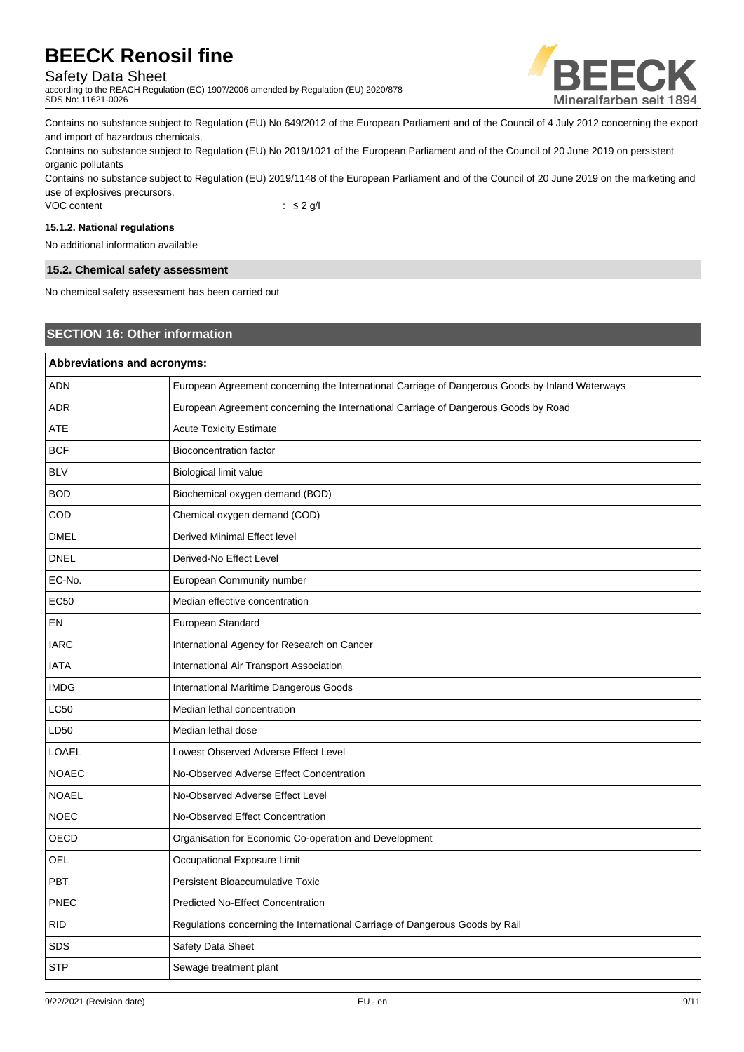## Safety Data Sheet

according to the REACH Regulation (EC) 1907/2006 amended by Regulation (EU) 2020/878 SDS No: 11621-0026



Contains no substance subject to Regulation (EU) No 649/2012 of the European Parliament and of the Council of 4 July 2012 concerning the export and import of hazardous chemicals.

Contains no substance subject to Regulation (EU) No 2019/1021 of the European Parliament and of the Council of 20 June 2019 on persistent organic pollutants

Contains no substance subject to Regulation (EU) 2019/1148 of the European Parliament and of the Council of 20 June 2019 on the marketing and use of explosives precursors.

VOC content : ≤ 2 g/l

## **15.1.2. National regulations**

No additional information available

## **15.2. Chemical safety assessment**

No chemical safety assessment has been carried out

## **SECTION 16: Other information**

| Abbreviations and acronyms: |                                                                                                 |
|-----------------------------|-------------------------------------------------------------------------------------------------|
| ADN                         | European Agreement concerning the International Carriage of Dangerous Goods by Inland Waterways |
| <b>ADR</b>                  | European Agreement concerning the International Carriage of Dangerous Goods by Road             |
| <b>ATE</b>                  | <b>Acute Toxicity Estimate</b>                                                                  |
| <b>BCF</b>                  | <b>Bioconcentration factor</b>                                                                  |
| <b>BLV</b>                  | Biological limit value                                                                          |
| <b>BOD</b>                  | Biochemical oxygen demand (BOD)                                                                 |
| COD                         | Chemical oxygen demand (COD)                                                                    |
| <b>DMEL</b>                 | Derived Minimal Effect level                                                                    |
| <b>DNEL</b>                 | Derived-No Effect Level                                                                         |
| EC-No.                      | European Community number                                                                       |
| EC50                        | Median effective concentration                                                                  |
| EN                          | European Standard                                                                               |
| <b>IARC</b>                 | International Agency for Research on Cancer                                                     |
| <b>IATA</b>                 | International Air Transport Association                                                         |
| <b>IMDG</b>                 | International Maritime Dangerous Goods                                                          |
| <b>LC50</b>                 | Median lethal concentration                                                                     |
| LD50                        | Median lethal dose                                                                              |
| LOAEL                       | Lowest Observed Adverse Effect Level                                                            |
| <b>NOAEC</b>                | No-Observed Adverse Effect Concentration                                                        |
| <b>NOAEL</b>                | No-Observed Adverse Effect Level                                                                |
| <b>NOEC</b>                 | No-Observed Effect Concentration                                                                |
| OECD                        | Organisation for Economic Co-operation and Development                                          |
| OEL                         | Occupational Exposure Limit                                                                     |
| PBT                         | Persistent Bioaccumulative Toxic                                                                |
| <b>PNEC</b>                 | <b>Predicted No-Effect Concentration</b>                                                        |
| <b>RID</b>                  | Regulations concerning the International Carriage of Dangerous Goods by Rail                    |
| <b>SDS</b>                  | Safety Data Sheet                                                                               |
| <b>STP</b>                  | Sewage treatment plant                                                                          |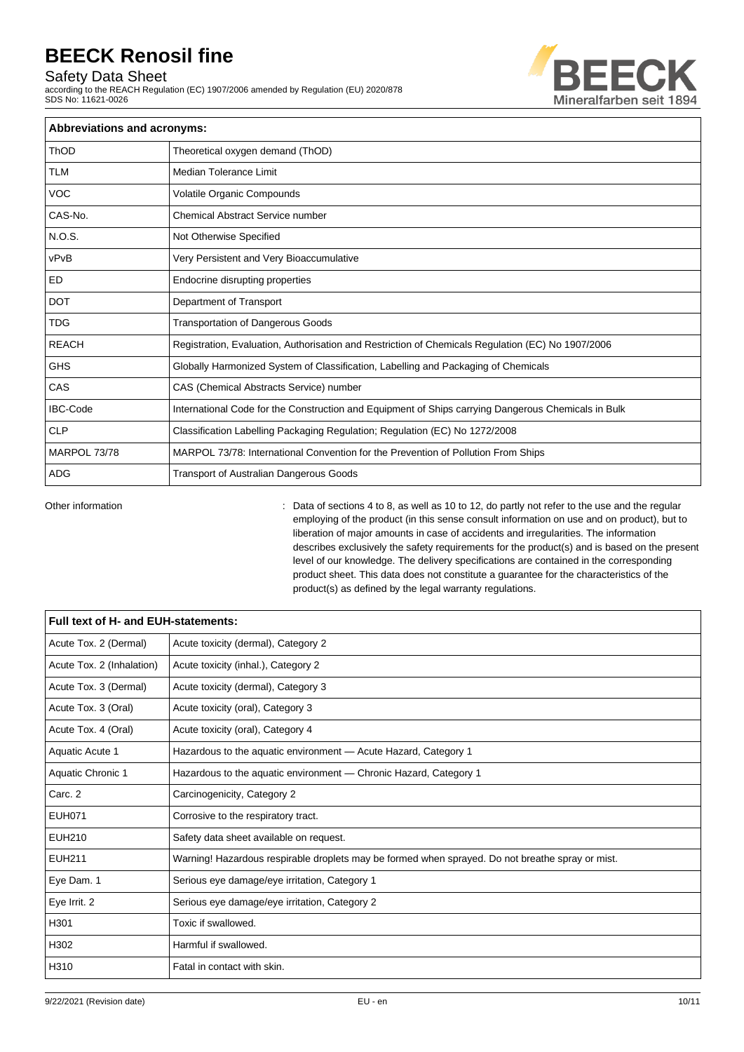## Safety Data Sheet

according to the REACH Regulation (EC) 1907/2006 amended by Regulation (EU) 2020/878 SDS No: 11621-0026



| Abbreviations and acronyms: |                                                                                                     |
|-----------------------------|-----------------------------------------------------------------------------------------------------|
| <b>ThOD</b>                 | Theoretical oxygen demand (ThOD)                                                                    |
| TLM                         | <b>Median Tolerance Limit</b>                                                                       |
| <b>VOC</b>                  | Volatile Organic Compounds                                                                          |
| CAS-No.                     | Chemical Abstract Service number                                                                    |
| N.O.S.                      | Not Otherwise Specified                                                                             |
| vPvB                        | Very Persistent and Very Bioaccumulative                                                            |
| ED                          | Endocrine disrupting properties                                                                     |
| <b>DOT</b>                  | Department of Transport                                                                             |
| <b>TDG</b>                  | <b>Transportation of Dangerous Goods</b>                                                            |
| <b>REACH</b>                | Registration, Evaluation, Authorisation and Restriction of Chemicals Regulation (EC) No 1907/2006   |
| <b>GHS</b>                  | Globally Harmonized System of Classification, Labelling and Packaging of Chemicals                  |
| CAS                         | CAS (Chemical Abstracts Service) number                                                             |
| <b>IBC-Code</b>             | International Code for the Construction and Equipment of Ships carrying Dangerous Chemicals in Bulk |
| <b>CLP</b>                  | Classification Labelling Packaging Regulation; Regulation (EC) No 1272/2008                         |
| MARPOL 73/78                | MARPOL 73/78: International Convention for the Prevention of Pollution From Ships                   |
| <b>ADG</b>                  | <b>Transport of Australian Dangerous Goods</b>                                                      |

Other information **come to accompute 10 to 3**, as well as 10 to 12, do partly not refer to the use and the regular employing of the product (in this sense consult information on use and on product), but to liberation of major amounts in case of accidents and irregularities. The information describes exclusively the safety requirements for the product(s) and is based on the present level of our knowledge. The delivery specifications are contained in the corresponding product sheet. This data does not constitute a guarantee for the characteristics of the product(s) as defined by the legal warranty regulations.

| Full text of H- and EUH-statements: |                                                                                                  |
|-------------------------------------|--------------------------------------------------------------------------------------------------|
| Acute Tox. 2 (Dermal)               | Acute toxicity (dermal), Category 2                                                              |
| Acute Tox. 2 (Inhalation)           | Acute toxicity (inhal.), Category 2                                                              |
| Acute Tox. 3 (Dermal)               | Acute toxicity (dermal), Category 3                                                              |
| Acute Tox. 3 (Oral)                 | Acute toxicity (oral), Category 3                                                                |
| Acute Tox. 4 (Oral)                 | Acute toxicity (oral), Category 4                                                                |
| Aquatic Acute 1                     | Hazardous to the aquatic environment - Acute Hazard, Category 1                                  |
| Aquatic Chronic 1                   | Hazardous to the aquatic environment - Chronic Hazard, Category 1                                |
| Carc. 2                             | Carcinogenicity, Category 2                                                                      |
| <b>EUH071</b>                       | Corrosive to the respiratory tract.                                                              |
| <b>EUH210</b>                       | Safety data sheet available on request.                                                          |
| <b>EUH211</b>                       | Warning! Hazardous respirable droplets may be formed when sprayed. Do not breathe spray or mist. |
| Eye Dam. 1                          | Serious eye damage/eye irritation, Category 1                                                    |
| Eye Irrit. 2                        | Serious eye damage/eye irritation, Category 2                                                    |
| H301                                | Toxic if swallowed.                                                                              |
| H302                                | Harmful if swallowed.                                                                            |
| H310                                | Fatal in contact with skin.                                                                      |